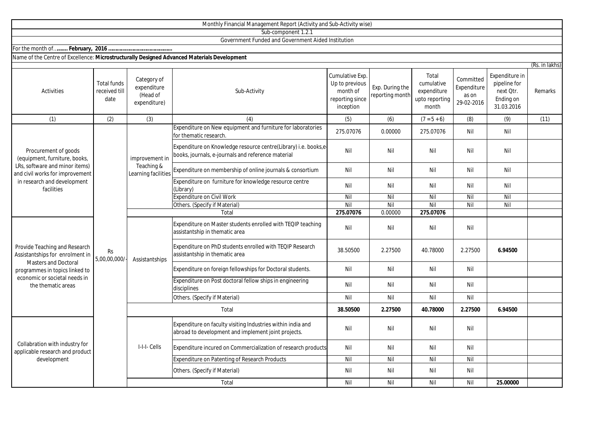|                                                                                                                                                                                          |                                             |                                                        | Monthly Financial Management Report (Activity and Sub-Activity wise)                                                 |                                                                               |                                    |                                                               |                                                 |                                                                        |                |
|------------------------------------------------------------------------------------------------------------------------------------------------------------------------------------------|---------------------------------------------|--------------------------------------------------------|----------------------------------------------------------------------------------------------------------------------|-------------------------------------------------------------------------------|------------------------------------|---------------------------------------------------------------|-------------------------------------------------|------------------------------------------------------------------------|----------------|
|                                                                                                                                                                                          |                                             |                                                        | Sub-component 1.2.1                                                                                                  |                                                                               |                                    |                                                               |                                                 |                                                                        |                |
|                                                                                                                                                                                          |                                             |                                                        | Government Funded and Government Aided Institution                                                                   |                                                                               |                                    |                                                               |                                                 |                                                                        |                |
|                                                                                                                                                                                          |                                             |                                                        |                                                                                                                      |                                                                               |                                    |                                                               |                                                 |                                                                        |                |
| Name of the Centre of Excellence: Microstructurally Designed Advanced Materials Development                                                                                              |                                             |                                                        |                                                                                                                      |                                                                               |                                    |                                                               |                                                 |                                                                        |                |
|                                                                                                                                                                                          |                                             |                                                        |                                                                                                                      |                                                                               |                                    |                                                               |                                                 |                                                                        | (Rs. in lakhs) |
| <b>Activities</b>                                                                                                                                                                        | <b>Total funds</b><br>received till<br>date | Category of<br>expenditure<br>(Head of<br>expenditure) | Sub-Activity                                                                                                         | Cumulative Exp.<br>Up to previous<br>month of<br>reporting since<br>inception | Exp. During the<br>reporting month | Total<br>cumulative<br>expenditure<br>upto reporting<br>month | Committed<br>Expenditure<br>as on<br>29-02-2016 | Expenditure in<br>pipeline for<br>next Qtr.<br>Ending on<br>31.03.2016 | Remarks        |
| (1)                                                                                                                                                                                      | (2)                                         | (3)                                                    | (4)                                                                                                                  | (5)                                                                           | (6)                                | $(7 = 5 + 6)$                                                 | (8)                                             | (9)                                                                    | (11)           |
| Procurement of goods<br>(equipment, furniture, books,<br>LRs, software and minor items)<br>and civil works for improvement<br>in research and development<br>facilities                  | <b>Rs</b><br>5,00,00,000/-                  | improvement in<br>Teaching &<br>Learning facilities    | Expenditure on New equipment and furniture for laboratories<br>for thematic research                                 | 275.07076                                                                     | 0.00000                            | 275.07076                                                     | Nil                                             | Nil                                                                    |                |
|                                                                                                                                                                                          |                                             |                                                        | Expenditure on Knowledge resource centre(Library) i.e. books,e<br>books, journals, e-journals and reference material | Nil                                                                           | Nil                                | Nil                                                           | Nil                                             | Nil                                                                    |                |
|                                                                                                                                                                                          |                                             |                                                        | Expenditure on membership of online journals & consortium                                                            | Nil                                                                           | Nil                                | Nil                                                           | Nil                                             | Nil                                                                    |                |
|                                                                                                                                                                                          |                                             |                                                        | Expenditure on furniture for knowledge resource centre<br>(Library)                                                  | Nil                                                                           | Nil                                | Nil                                                           | Nil                                             | Nil                                                                    |                |
|                                                                                                                                                                                          |                                             |                                                        | <b>Expenditure on Civil Work</b>                                                                                     | Nil                                                                           | Nil                                | Nil                                                           | Nil                                             | Nil                                                                    |                |
|                                                                                                                                                                                          |                                             |                                                        | Others. (Specify if Material)                                                                                        | Nil                                                                           | Nil                                | Nil                                                           | Nil                                             | Nil                                                                    |                |
|                                                                                                                                                                                          |                                             |                                                        | Total                                                                                                                | 275.07076                                                                     | 0.00000                            | 275.07076                                                     |                                                 |                                                                        |                |
| Provide Teaching and Research<br>Assistantships for enrolment in<br><b>Masters and Doctoral</b><br>programmes in topics linked to<br>economic or societal needs in<br>the thematic areas |                                             | Assistantships                                         | Expenditure on Master students enrolled with TEQIP teaching<br>assistantship in thematic area                        | Nil                                                                           | Nil                                | Nil                                                           | Nil                                             |                                                                        |                |
|                                                                                                                                                                                          |                                             |                                                        | Expenditure on PhD students enrolled with TEQIP Research<br>assistantship in thematic area                           | 38.50500                                                                      | 2.27500                            | 40.78000                                                      | 2.27500                                         | 6.94500                                                                |                |
|                                                                                                                                                                                          |                                             |                                                        | Expenditure on foreign fellowships for Doctoral students.                                                            | Nil                                                                           | Nil                                | Nil                                                           | Nil                                             |                                                                        |                |
|                                                                                                                                                                                          |                                             |                                                        | Expenditure on Post doctoral fellow ships in engineering<br>disciplines                                              | Nil                                                                           | Nil                                | Nil                                                           | Nil                                             |                                                                        |                |
|                                                                                                                                                                                          |                                             |                                                        | Others. (Specify if Material)                                                                                        | Nil                                                                           | Nil                                | Nil                                                           | Nil                                             |                                                                        |                |
|                                                                                                                                                                                          |                                             | Total                                                  |                                                                                                                      | 38.50500                                                                      | 2.27500                            | 40.78000                                                      | 2.27500                                         | 6.94500                                                                |                |
| Collabration with industry for<br>applicable research and product<br>development                                                                                                         |                                             | I-I-I- Cells                                           | Expenditure on faculty visiting Industries within india and<br>abroad to development and implement joint projects.   | Nil                                                                           | Nil                                | Nil                                                           | Nil                                             |                                                                        |                |
|                                                                                                                                                                                          |                                             |                                                        | Expenditure incured on Commercialization of research products                                                        | Nil                                                                           | Nil                                | Nil                                                           | Nil                                             |                                                                        |                |
|                                                                                                                                                                                          |                                             |                                                        | Expenditure on Patenting of Research Products                                                                        | Nil                                                                           | Nil                                | Nil                                                           | Nil                                             |                                                                        |                |
|                                                                                                                                                                                          |                                             |                                                        | Others. (Specify if Material)                                                                                        | Nil                                                                           | Nil                                | Nil                                                           | Nil                                             |                                                                        |                |
|                                                                                                                                                                                          |                                             |                                                        | Total                                                                                                                | Nil                                                                           | Nil                                | Nil                                                           | Nil                                             | 25.00000                                                               |                |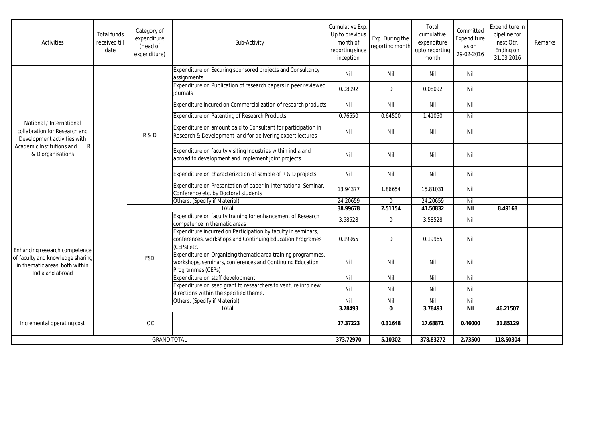| <b>Activities</b>                                                                                                                               | <b>Total funds</b><br>received till<br>date | Category of<br>expenditure<br>(Head of<br>expenditure) | Sub-Activity                                                                                                                                   | Cumulative Exp.<br>Up to previous<br>month of<br>reporting since<br>inception | Exp. During the<br>reporting month | Total<br>cumulative<br>expenditure<br>upto reporting<br>month | Committed<br>Expenditure<br>as on<br>29-02-2016 | Expenditure in<br>pipeline for<br>next Otr.<br>Ending on<br>31.03.2016 | Remarks |
|-------------------------------------------------------------------------------------------------------------------------------------------------|---------------------------------------------|--------------------------------------------------------|------------------------------------------------------------------------------------------------------------------------------------------------|-------------------------------------------------------------------------------|------------------------------------|---------------------------------------------------------------|-------------------------------------------------|------------------------------------------------------------------------|---------|
|                                                                                                                                                 |                                             | R&D                                                    | Expenditure on Securing sponsored projects and Consultancy<br>assignments                                                                      | Nil                                                                           | Nil                                | Nil                                                           | Nil                                             |                                                                        |         |
|                                                                                                                                                 |                                             |                                                        | Expenditure on Publication of research papers in peer reviewed<br>iournals                                                                     | 0.08092                                                                       | $\mathbf 0$                        | 0.08092                                                       | Nil                                             |                                                                        |         |
|                                                                                                                                                 |                                             |                                                        | Expenditure incured on Commercialization of research products                                                                                  | Nil                                                                           | Nil                                | Nil                                                           | Nil                                             |                                                                        |         |
|                                                                                                                                                 |                                             |                                                        | <b>Expenditure on Patenting of Research Products</b>                                                                                           | 0.76550                                                                       | 0.64500                            | 1.41050                                                       | Nil                                             |                                                                        |         |
| National / International<br>collabration for Research and<br>Development activities with<br>Academic Institutions and<br>R<br>& D organisations |                                             |                                                        | Expenditure on amount paid to Consultant for participation in<br>Research & Development and for delivering expert lectures                     | Nil                                                                           | Nil                                | Nil                                                           | Nil                                             |                                                                        |         |
|                                                                                                                                                 |                                             |                                                        | Expenditure on faculty visiting Industries within india and<br>abroad to development and implement joint projects.                             | Nil                                                                           | Nil                                | Nil                                                           | Nil                                             |                                                                        |         |
|                                                                                                                                                 |                                             |                                                        | Expenditure on characterization of sample of R & D projects                                                                                    | Nil                                                                           | Nil                                | Nil                                                           | Nil                                             |                                                                        |         |
|                                                                                                                                                 |                                             |                                                        | Expenditure on Presentation of paper in International Seminar,<br>Conference etc. by Doctoral students                                         | 13.94377                                                                      | 1.86654                            | 15.81031                                                      | Nil                                             |                                                                        |         |
|                                                                                                                                                 |                                             |                                                        | Others. (Specify if Material)                                                                                                                  | 24.20659                                                                      | $\mathbf 0$                        | 24.20659                                                      | Nil                                             |                                                                        |         |
|                                                                                                                                                 |                                             |                                                        | Total                                                                                                                                          | 38.99678                                                                      | 2.51154                            | 41.50832                                                      | <b>Nil</b>                                      | 8.49168                                                                |         |
| Enhancing research competence<br>of faculty and knowledge sharing<br>in thematic areas, both within<br>India and abroad                         |                                             | <b>FSD</b>                                             | Expenditure on faculty training for enhancement of Research<br>competence in thematic areas                                                    | 3.58528                                                                       | $\pmb{0}$                          | 3.58528                                                       | Nil                                             |                                                                        |         |
|                                                                                                                                                 |                                             |                                                        | Expenditure incurred on Participation by faculty in seminars,<br>conferences, workshops and Continuing Education Programes<br>(CEPs) etc.      | 0.19965                                                                       | $\Omega$                           | 0.19965                                                       | Nil                                             |                                                                        |         |
|                                                                                                                                                 |                                             |                                                        | Expenditure on Organizing thematic area training programmes,<br>workshops, seminars, conferences and Continuing Education<br>Programmes (CEPs) | Nil                                                                           | Nil                                | Nil                                                           | Nil                                             |                                                                        |         |
|                                                                                                                                                 |                                             |                                                        | Expenditure on staff development                                                                                                               | Nil                                                                           | Nil                                | $\overline{N}$                                                | Nil                                             |                                                                        |         |
|                                                                                                                                                 |                                             |                                                        | Expenditure on seed grant to researchers to venture into new<br>directions within the specified theme.                                         | Nil                                                                           | Nil                                | Nil                                                           | Nil                                             |                                                                        |         |
|                                                                                                                                                 |                                             |                                                        | Others. (Specify if Material)                                                                                                                  | Nil                                                                           | Nil                                | Nil                                                           | Nil                                             |                                                                        |         |
|                                                                                                                                                 |                                             |                                                        | Total                                                                                                                                          | 3.78493                                                                       | $\mathbf{0}$                       | 3.78493                                                       | Nil                                             | 46.21507                                                               |         |
| Incremental operating cost                                                                                                                      |                                             | <b>IOC</b>                                             |                                                                                                                                                | 17.37223                                                                      | 0.31648                            | 17.68871                                                      | 0.46000                                         | 31.85129                                                               |         |
| <b>GRAND TOTAL</b>                                                                                                                              |                                             |                                                        | 373.72970                                                                                                                                      | 5.10302                                                                       | 378.83272                          | 2.73500                                                       | 118.50304                                       |                                                                        |         |